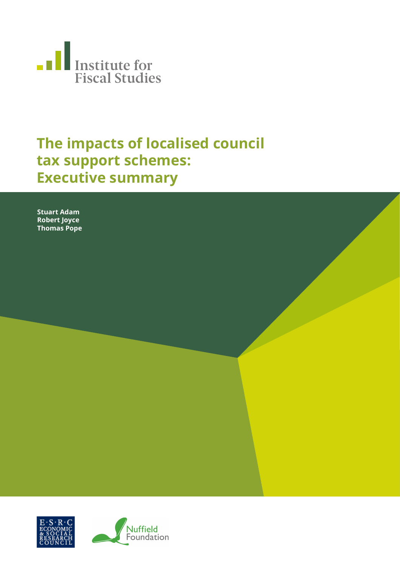

## **The impacts of localised council tax support schemes: Executive summary**

**Stuart Adam Robert Joyce Thomas Pope**

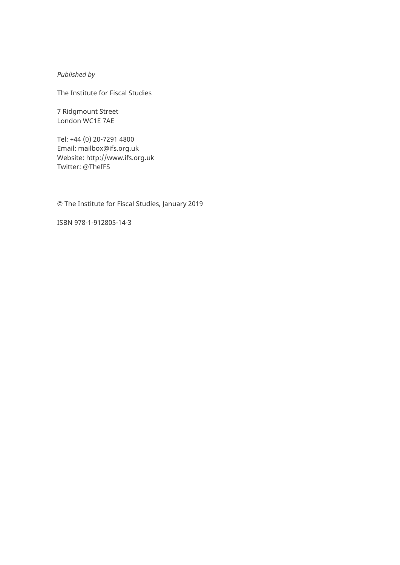*Published by* 

The Institute for Fiscal Studies

7 Ridgmount Street London WC1E 7AE

Tel: +44 (0) 20-7291 4800 Email: [mailbox@ifs.org.uk](mailto:mailbox@ifs.org.uk) Website: [http://www.ifs.org.uk](http://www.ifs.org.uk/) Twitter: @TheIFS

© The Institute for Fiscal Studies, January 2019

ISBN 978-1-912805-14-3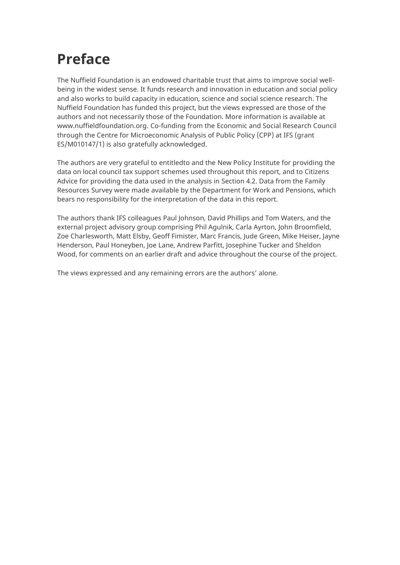# **Preface**

The Nuffield Foundation is an endowed charitable trust that aims to improve social wellbeing in the widest sense. It funds research and innovation in education and social policy and also works to build capacity in education, science and social science research. The Nuffield Foundation has funded this project, but the views expressed are those of the authors and not necessarily those of the Foundation. More information is available at [www.nuffieldfoundation.org.](http://www.nuffieldfoundation.org/) Co-funding from the Economic and Social Research Council through the Centre for Microeconomic Analysis of Public Policy (CPP) at IFS (grant ES/M010147/1) is also gratefully acknowledged.

The authors are very grateful to entitledto and the New Policy Institute for providing the data on local council tax support schemes used throughout this report, and to Citizens Advice for providing the data used in the analysis in Section 4.2. Data from the Family Resources Survey were made available by the Department for Work and Pensions, which bears no responsibility for the interpretation of the data in this report.

The authors thank IFS colleagues Paul Johnson, David Phillips and Tom Waters, and the external project advisory group comprising Phil Agulnik, Carla Ayrton, John Broomfield, Zoe Charlesworth, Matt Elsby, Geoff Fimister, Marc Francis, Jude Green, Mike Heiser, Jayne Henderson, Paul Honeyben, Joe Lane, Andrew Parfitt, Josephine Tucker and Sheldon Wood, for comments on an earlier draft and advice throughout the course of the project.

The views expressed and any remaining errors are the authors' alone.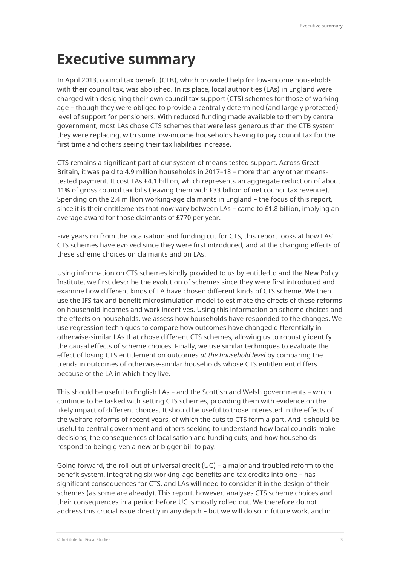## **Executive summary**

In April 2013, council tax benefit (CTB), which provided help for low-income households with their council tax, was abolished. In its place, local authorities (LAs) in England were charged with designing their own council tax support (CTS) schemes for those of working age – though they were obliged to provide a centrally determined (and largely protected) level of support for pensioners. With reduced funding made available to them by central government, most LAs chose CTS schemes that were less generous than the CTB system they were replacing, with some low-income households having to pay council tax for the first time and others seeing their tax liabilities increase.

CTS remains a significant part of our system of means-tested support. Across Great Britain, it was paid to 4.9 million households in 2017–18 – more than any other meanstested payment. It cost LAs £4.1 billion, which represents an aggregate reduction of about 11% of gross council tax bills (leaving them with £33 billion of net council tax revenue). Spending on the 2.4 million working-age claimants in England – the focus of this report, since it is their entitlements that now vary between LAs – came to £1.8 billion, implying an average award for those claimants of £770 per year.

Five years on from the localisation and funding cut for CTS, this report looks at how LAs' CTS schemes have evolved since they were first introduced, and at the changing effects of these scheme choices on claimants and on LAs.

Using information on CTS schemes kindly provided to us by entitledto and the New Policy Institute, we first describe the evolution of schemes since they were first introduced and examine how different kinds of LA have chosen different kinds of CTS scheme. We then use the IFS tax and benefit microsimulation model to estimate the effects of these reforms on household incomes and work incentives. Using this information on scheme choices and the effects on households, we assess how households have responded to the changes. We use regression techniques to compare how outcomes have changed differentially in otherwise-similar LAs that chose different CTS schemes, allowing us to robustly identify the causal effects of scheme choices. Finally, we use similar techniques to evaluate the effect of losing CTS entitlement on outcomes *at the household level* by comparing the trends in outcomes of otherwise-similar households whose CTS entitlement differs because of the LA in which they live.

This should be useful to English LAs – and the Scottish and Welsh governments – which continue to be tasked with setting CTS schemes, providing them with evidence on the likely impact of different choices. It should be useful to those interested in the effects of the welfare reforms of recent years, of which the cuts to CTS form a part. And it should be useful to central government and others seeking to understand how local councils make decisions, the consequences of localisation and funding cuts, and how households respond to being given a new or bigger bill to pay.

Going forward, the roll-out of universal credit (UC) – a major and troubled reform to the benefit system, integrating six working-age benefits and tax credits into one – has significant consequences for CTS, and LAs will need to consider it in the design of their schemes (as some are already). This report, however, analyses CTS scheme choices and their consequences in a period before UC is mostly rolled out. We therefore do not address this crucial issue directly in any depth – but we will do so in future work, and in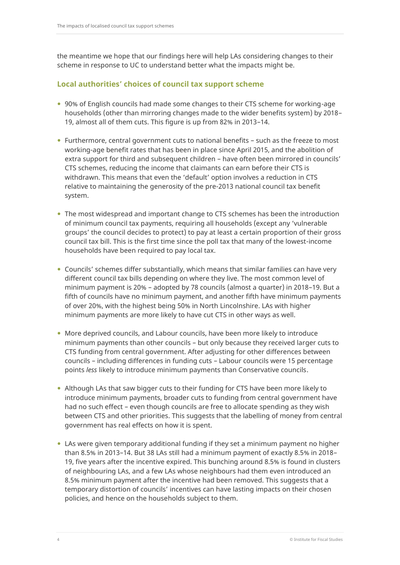the meantime we hope that our findings here will help LAs considering changes to their scheme in response to UC to understand better what the impacts might be.

#### **Local authorities' choices of council tax support scheme**

- 90% of English councils had made some changes to their CTS scheme for working-age households (other than mirroring changes made to the wider benefits system) by 2018– 19, almost all of them cuts. This figure is up from 82% in 2013–14.
- Furthermore, central government cuts to national benefits such as the freeze to most working-age benefit rates that has been in place since April 2015, and the abolition of extra support for third and subsequent children – have often been mirrored in councils' CTS schemes, reducing the income that claimants can earn before their CTS is withdrawn. This means that even the 'default' option involves a reduction in CTS relative to maintaining the generosity of the pre-2013 national council tax benefit system.
- The most widespread and important change to CTS schemes has been the introduction of minimum council tax payments, requiring all households (except any 'vulnerable groups' the council decides to protect) to pay at least a certain proportion of their gross council tax bill. This is the first time since the poll tax that many of the lowest-income households have been required to pay local tax.
- Councils' schemes differ substantially, which means that similar families can have very different council tax bills depending on where they live. The most common level of minimum payment is 20% – adopted by 78 councils (almost a quarter) in 2018–19. But a fifth of councils have no minimum payment, and another fifth have minimum payments of over 20%, with the highest being 50% in North Lincolnshire. LAs with higher minimum payments are more likely to have cut CTS in other ways as well.
- More deprived councils, and Labour councils, have been more likely to introduce minimum payments than other councils – but only because they received larger cuts to CTS funding from central government. After adjusting for other differences between councils – including differences in funding cuts – Labour councils were 15 percentage points *less* likely to introduce minimum payments than Conservative councils.
- Although LAs that saw bigger cuts to their funding for CTS have been more likely to introduce minimum payments, broader cuts to funding from central government have had no such effect – even though councils are free to allocate spending as they wish between CTS and other priorities. This suggests that the labelling of money from central government has real effects on how it is spent.
- LAs were given temporary additional funding if they set a minimum payment no higher than 8.5% in 2013–14. But 38 LAs still had a minimum payment of exactly 8.5% in 2018– 19, five years after the incentive expired. This bunching around 8.5% is found in clusters of neighbouring LAs, and a few LAs whose neighbours had them even introduced an 8.5% minimum payment after the incentive had been removed. This suggests that a temporary distortion of councils' incentives can have lasting impacts on their chosen policies, and hence on the households subject to them.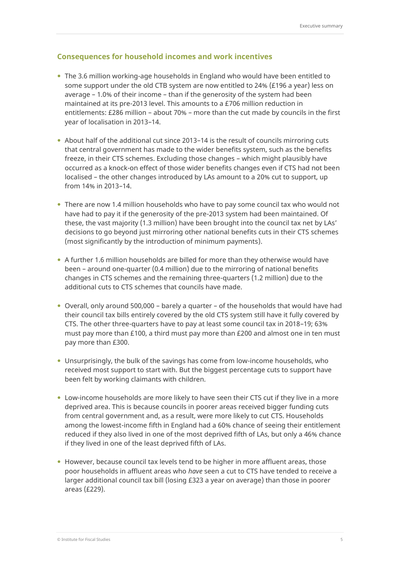#### **Consequences for household incomes and work incentives**

- The 3.6 million working-age households in England who would have been entitled to some support under the old CTB system are now entitled to 24% (£196 a year) less on average – 1.0% of their income – than if the generosity of the system had been maintained at its pre-2013 level. This amounts to a £706 million reduction in entitlements: £286 million – about 70% – more than the cut made by councils in the first year of localisation in 2013–14.
- About half of the additional cut since 2013–14 is the result of councils mirroring cuts that central government has made to the wider benefits system, such as the benefits freeze, in their CTS schemes. Excluding those changes – which might plausibly have occurred as a knock-on effect of those wider benefits changes even if CTS had not been localised – the other changes introduced by LAs amount to a 20% cut to support, up from 14% in 2013–14.
- There are now 1.4 million households who have to pay some council tax who would not have had to pay it if the generosity of the pre-2013 system had been maintained. Of these, the vast majority (1.3 million) have been brought into the council tax net by LAs' decisions to go beyond just mirroring other national benefits cuts in their CTS schemes (most significantly by the introduction of minimum payments).
- A further 1.6 million households are billed for more than they otherwise would have been – around one-quarter (0.4 million) due to the mirroring of national benefits changes in CTS schemes and the remaining three-quarters (1.2 million) due to the additional cuts to CTS schemes that councils have made.
- Overall, only around 500,000 barely a quarter of the households that would have had their council tax bills entirely covered by the old CTS system still have it fully covered by CTS. The other three-quarters have to pay at least some council tax in 2018–19; 63% must pay more than £100, a third must pay more than £200 and almost one in ten must pay more than £300.
- Unsurprisingly, the bulk of the savings has come from low-income households, who received most support to start with. But the biggest percentage cuts to support have been felt by working claimants with children.
- Low-income households are more likely to have seen their CTS cut if they live in a more deprived area. This is because councils in poorer areas received bigger funding cuts from central government and, as a result, were more likely to cut CTS. Households among the lowest-income fifth in England had a 60% chance of seeing their entitlement reduced if they also lived in one of the most deprived fifth of LAs, but only a 46% chance if they lived in one of the least deprived fifth of LAs.
- However, because council tax levels tend to be higher in more affluent areas, those poor households in affluent areas who *have* seen a cut to CTS have tended to receive a larger additional council tax bill (losing £323 a year on average) than those in poorer areas (£229).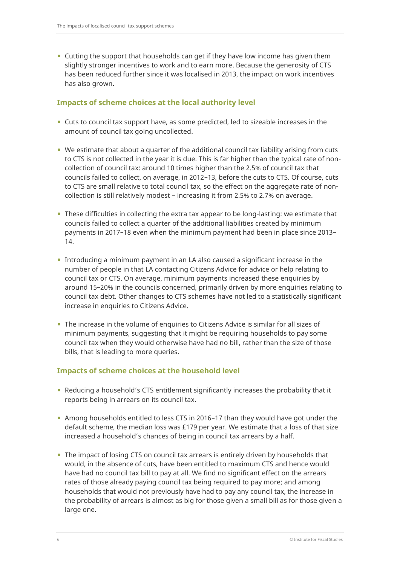Cutting the support that households can get if they have low income has given them slightly stronger incentives to work and to earn more. Because the generosity of CTS has been reduced further since it was localised in 2013, the impact on work incentives has also grown.

#### **Impacts of scheme choices at the local authority level**

- Cuts to council tax support have, as some predicted, led to sizeable increases in the amount of council tax going uncollected.
- We estimate that about a quarter of the additional council tax liability arising from cuts to CTS is not collected in the year it is due. This is far higher than the typical rate of noncollection of council tax: around 10 times higher than the 2.5% of council tax that councils failed to collect, on average, in 2012–13, before the cuts to CTS. Of course, cuts to CTS are small relative to total council tax, so the effect on the aggregate rate of noncollection is still relatively modest – increasing it from 2.5% to 2.7% on average.
- These difficulties in collecting the extra tax appear to be long-lasting: we estimate that councils failed to collect a quarter of the additional liabilities created by minimum payments in 2017–18 even when the minimum payment had been in place since 2013– 14.
- Introducing a minimum payment in an LA also caused a significant increase in the number of people in that LA contacting Citizens Advice for advice or help relating to council tax or CTS. On average, minimum payments increased these enquiries by around 15–20% in the councils concerned, primarily driven by more enquiries relating to council tax debt. Other changes to CTS schemes have not led to a statistically significant increase in enquiries to Citizens Advice.
- The increase in the volume of enquiries to Citizens Advice is similar for all sizes of minimum payments, suggesting that it might be requiring households to pay some council tax when they would otherwise have had no bill, rather than the size of those bills, that is leading to more queries.

### **Impacts of scheme choices at the household level**

- Reducing a household's CTS entitlement significantly increases the probability that it reports being in arrears on its council tax.
- Among households entitled to less CTS in 2016–17 than they would have got under the default scheme, the median loss was £179 per year. We estimate that a loss of that size increased a household's chances of being in council tax arrears by a half.
- The impact of losing CTS on council tax arrears is entirely driven by households that would, in the absence of cuts, have been entitled to maximum CTS and hence would have had no council tax bill to pay at all. We find no significant effect on the arrears rates of those already paying council tax being required to pay more; and among households that would not previously have had to pay any council tax, the increase in the probability of arrears is almost as big for those given a small bill as for those given a large one.